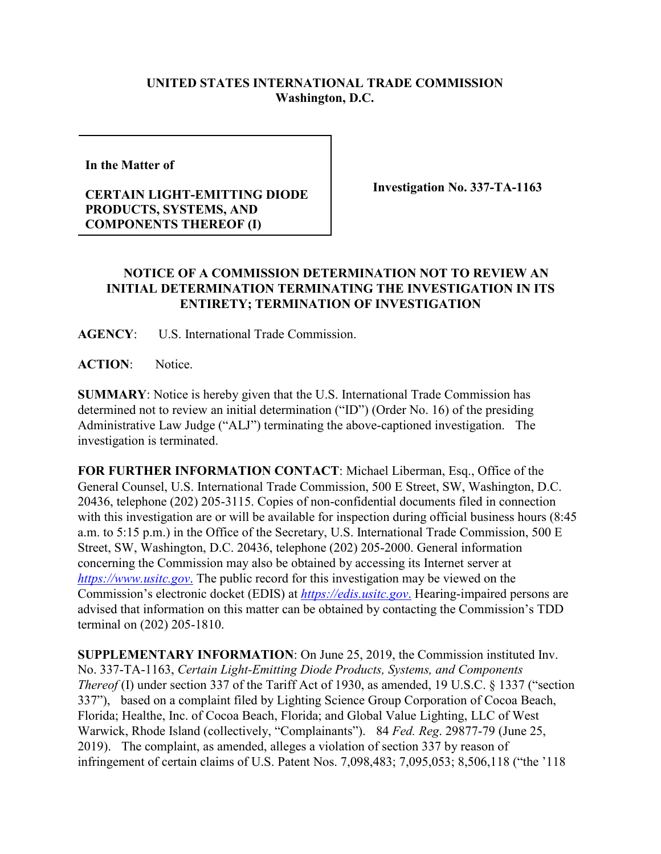## **UNITED STATES INTERNATIONAL TRADE COMMISSION Washington, D.C.**

**In the Matter of** 

## **CERTAIN LIGHT-EMITTING DIODE PRODUCTS, SYSTEMS, AND COMPONENTS THEREOF (I)**

**Investigation No. 337-TA-1163**

## **NOTICE OF A COMMISSION DETERMINATION NOT TO REVIEW AN INITIAL DETERMINATION TERMINATING THE INVESTIGATION IN ITS ENTIRETY; TERMINATION OF INVESTIGATION**

**AGENCY**: U.S. International Trade Commission.

**ACTION**: Notice.

**SUMMARY**: Notice is hereby given that the U.S. International Trade Commission has determined not to review an initial determination ("ID") (Order No. 16) of the presiding Administrative Law Judge ("ALJ") terminating the above-captioned investigation. The investigation is terminated.

**FOR FURTHER INFORMATION CONTACT**: Michael Liberman, Esq., Office of the General Counsel, U.S. International Trade Commission, 500 E Street, SW, Washington, D.C. 20436, telephone (202) 205-3115. Copies of non-confidential documents filed in connection with this investigation are or will be available for inspection during official business hours (8:45 a.m. to 5:15 p.m.) in the Office of the Secretary, U.S. International Trade Commission, 500 E Street, SW, Washington, D.C. 20436, telephone (202) 205-2000. General information concerning the Commission may also be obtained by accessing its Internet server at *[https://www.usitc.gov](https://www.usitc.gov./)*. The public record for this investigation may be viewed on the Commission's electronic docket (EDIS) at *[https://edis.usitc.gov](https://edis.usitc.gov./)*. Hearing-impaired persons are advised that information on this matter can be obtained by contacting the Commission's TDD terminal on (202) 205-1810.

**SUPPLEMENTARY INFORMATION**: On June 25, 2019, the Commission instituted Inv. No. 337-TA-1163, *Certain Light-Emitting Diode Products, Systems, and Components Thereof* (I) under section 337 of the Tariff Act of 1930, as amended, 19 U.S.C. § 1337 ("section 337"), based on a complaint filed by Lighting Science Group Corporation of Cocoa Beach, Florida; Healthe, Inc. of Cocoa Beach, Florida; and Global Value Lighting, LLC of West Warwick, Rhode Island (collectively, "Complainants"). 84 *Fed. Reg*. 29877-79 (June 25, 2019). The complaint, as amended, alleges a violation of section 337 by reason of infringement of certain claims of U.S. Patent Nos. 7,098,483; 7,095,053; 8,506,118 ("the '118